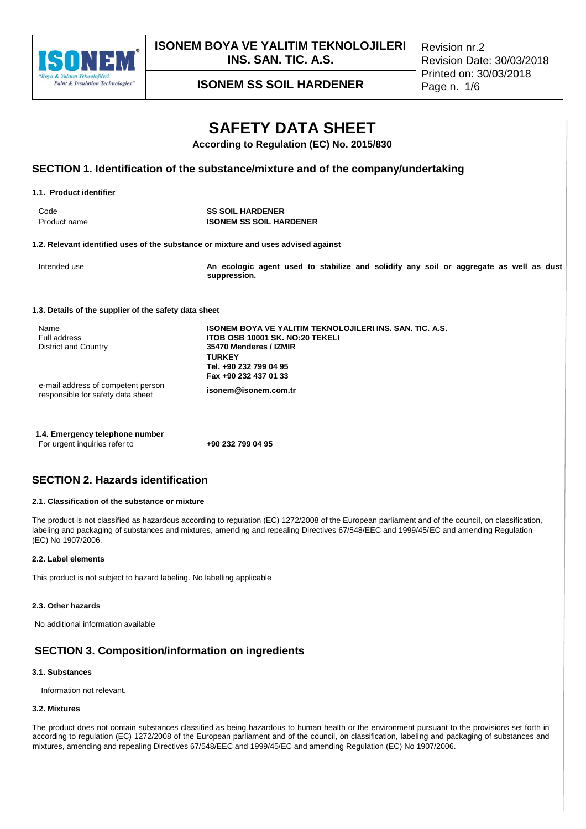

**ISONEM BOYA VE YALITIM TEKNOLOJILERI INS. SAN. TIC. A.S.**

Revision nr.2 Revision Date: 30/03/2018 Printed on: 30/03/2018

**ISONEM SS SOIL HARDENER** Page n. 1/6

# **SAFETY DATA SHEET According to Regulation (EC) No. 2015/830 SECTION 1. Identification of the substance/mixture and of the company/undertaking 1.1. Product identifier** Code **SS SOIL HARDENER**<br> **Product name SS SOIL HARDENER**<br> **SS SOIL HA ISONEM SS SOIL HARDENER 1.2. Relevant identified uses of the substance or mixture and uses advised against** Intended use **An ecologic agent used to stabilize and solidify any soil or aggregate as well as dust suppression. 1.3. Details of the supplier of the safety data sheet** Name **ISONEM BOYA VE YALITIM TEKNOLOJILERI INS. SAN. TIC. A.S.**<br>Full address **THE STAN STANDED IT ASSES 10001 SK. NO:20 TEKELI** Full address **ITOB OSB 10001 SK. NO:20 TEKELI** District and Country **35470 Menderes / IZMIR TURKEY Tel. +90 232 799 04 95 Fax +90 232 437 01 33** e-mail address of competent person responsible for safety data sheet **isonem@isonem.com.tr**

**1.4. Emergency telephone number** For urgent inquiries refer to **+90 232 799 04 95**

## **SECTION 2. Hazards identification**

## **2.1. Classification of the substance or mixture**

The product is not classified as hazardous according to regulation (EC) 1272/2008 of the European parliament and of the council, on classification, labeling and packaging of substances and mixtures, amending and repealing Directives 67/548/EEC and 1999/45/EC and amending Regulation (EC) No 1907/2006.

## **2.2. Label elements**

This product is not subject to hazard labeling. No labelling applicable

## **2.3. Other hazards**

No additional information available

## **SECTION 3. Composition/information on ingredients**

## **3.1. Substances**

Information not relevant.

### **3.2. Mixtures**

The product does not contain substances classified as being hazardous to human health or the environment pursuant to the provisions set forth in according to regulation (EC) 1272/2008 of the European parliament and of the council, on classification, labeling and packaging of substances and mixtures, amending and repealing Directives 67/548/EEC and 1999/45/EC and amending Regulation (EC) No 1907/2006.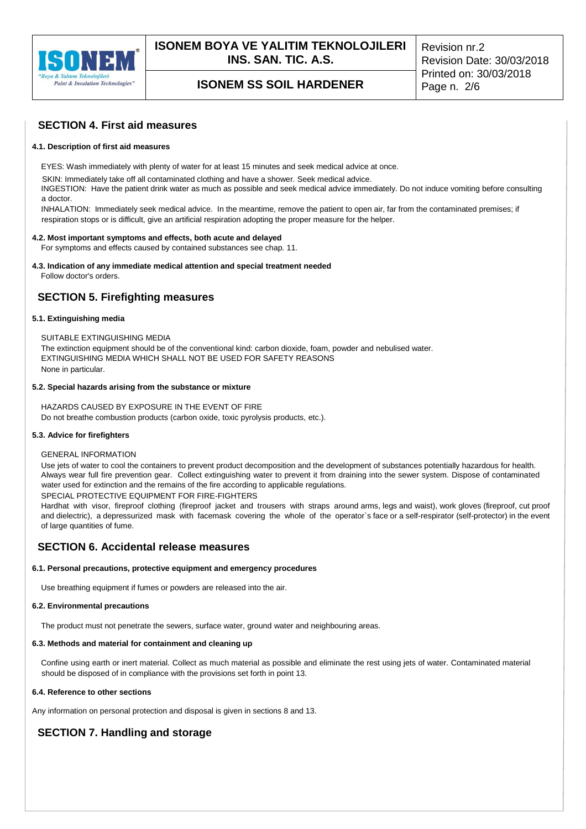

# **ISONEM SS SOIL HARDENER** Page n. 2/6

## **SECTION 4. First aid measures**

### **4.1. Description of first aid measures**

EYES: Wash immediately with plenty of water for at least 15 minutes and seek medical advice at once.

SKIN: Immediately take off all contaminated clothing and have a shower. Seek medical advice.

INGESTION: Have the patient drink water as much as possible and seek medical advice immediately. Do not induce vomiting before consulting a doctor.

INHALATION: Immediately seek medical advice. In the meantime, remove the patient to open air, far from the contaminated premises; if respiration stops or is difficult, give an artificial respiration adopting the proper measure for the helper.

### **4.2. Most important symptoms and effects, both acute and delayed**

For symptoms and effects caused by contained substances see chap. 11.

## **4.3. Indication of any immediate medical attention and special treatment needed**

Follow doctor's orders.

## **SECTION 5. Firefighting measures**

## **5.1. Extinguishing media**

SUITABLE EXTINGUISHING MEDIA The extinction equipment should be of the conventional kind: carbon dioxide, foam, powder and nebulised water. EXTINGUISHING MEDIA WHICH SHALL NOT BE USED FOR SAFETY REASONS

None in particular.

### **5.2. Special hazards arising from the substance or mixture**

HAZARDS CAUSED BY EXPOSURE IN THE EVENT OF FIRE Do not breathe combustion products (carbon oxide, toxic pyrolysis products, etc.).

#### **5.3. Advice for firefighters**

#### GENERAL INFORMATION

Use jets of water to cool the containers to prevent product decomposition and the development of substances potentially hazardous for health. Always wear full fire prevention gear. Collect extinguishing water to prevent it from draining into the sewer system. Dispose of contaminated water used for extinction and the remains of the fire according to applicable regulations. SPECIAL PROTECTIVE EQUIPMENT FOR FIRE-FIGHTERS

Hardhat with visor, fireproof clothing (fireproof jacket and trousers with straps around arms, legs and waist), work gloves (fireproof, cut proof and dielectric), a depressurized mask with facemask covering the whole of the operator`s face or a self-respirator (self-protector) in the event of large quantities of fume.

## **SECTION 6. Accidental release measures**

#### **6.1. Personal precautions, protective equipment and emergency procedures**

Use breathing equipment if fumes or powders are released into the air.

#### **6.2. Environmental precautions**

The product must not penetrate the sewers, surface water, ground water and neighbouring areas.

## **6.3. Methods and material for containment and cleaning up**

Confine using earth or inert material. Collect as much material as possible and eliminate the rest using jets of water. Contaminated material should be disposed of in compliance with the provisions set forth in point 13.

## **6.4. Reference to other sections**

Any information on personal protection and disposal is given in sections 8 and 13.

## **SECTION 7. Handling and storage**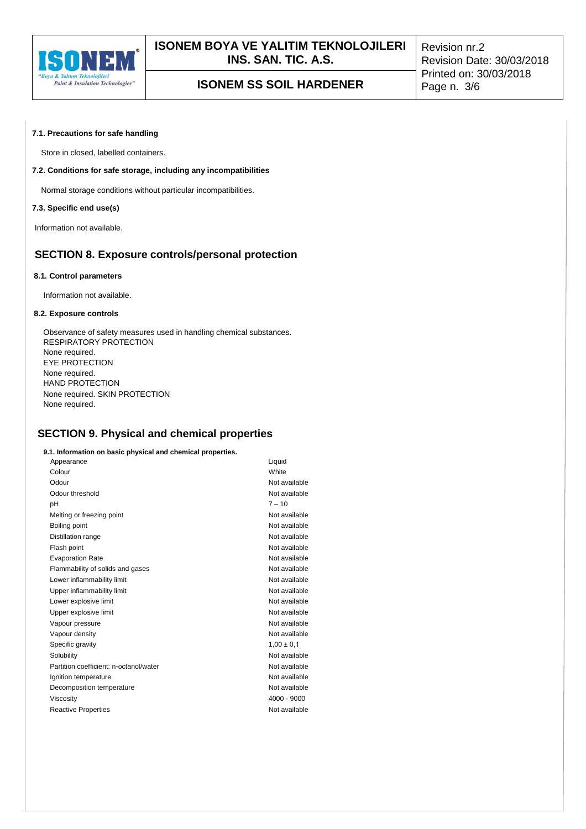

### **7.1. Precautions for safe handling**

Store in closed, labelled containers.

## **7.2. Conditions for safe storage, including any incompatibilities**

Normal storage conditions without particular incompatibilities.

### **7.3. Specific end use(s)**

Information not available.

## **SECTION 8. Exposure controls/personal protection**

#### **8.1. Control parameters**

Information not available.

#### **8.2. Exposure controls**

Observance of safety measures used in handling chemical substances. RESPIRATORY PROTECTION None required. EYE PROTECTION None required. HAND PROTECTION None required. SKIN PROTECTION None required.

## **SECTION 9. Physical and chemical properties**

#### **9.1. Information on basic physical and chemical properties.**

| Appearance                             | Liquid         |
|----------------------------------------|----------------|
| Colour                                 | White          |
| Odour                                  | Not available  |
| Odour threshold                        | Not available  |
| рH                                     | $7 - 10$       |
| Melting or freezing point              | Not available  |
| Boiling point                          | Not available  |
| Distillation range                     | Not available  |
| Flash point                            | Not available  |
| <b>Evaporation Rate</b>                | Not available  |
| Flammability of solids and gases       | Not available  |
| Lower inflammability limit             | Not available  |
| Upper inflammability limit             | Not available  |
| Lower explosive limit                  | Not available  |
| Upper explosive limit                  | Not available  |
| Vapour pressure                        | Not available  |
| Vapour density                         | Not available  |
| Specific gravity                       | $1,00 \pm 0,1$ |
| Solubility                             | Not available  |
| Partition coefficient: n-octanol/water | Not available  |
| Ignition temperature                   | Not available  |
| Decomposition temperature              | Not available  |
| Viscosity                              | $4000 - 9000$  |
| <b>Reactive Properties</b>             | Not available  |
|                                        |                |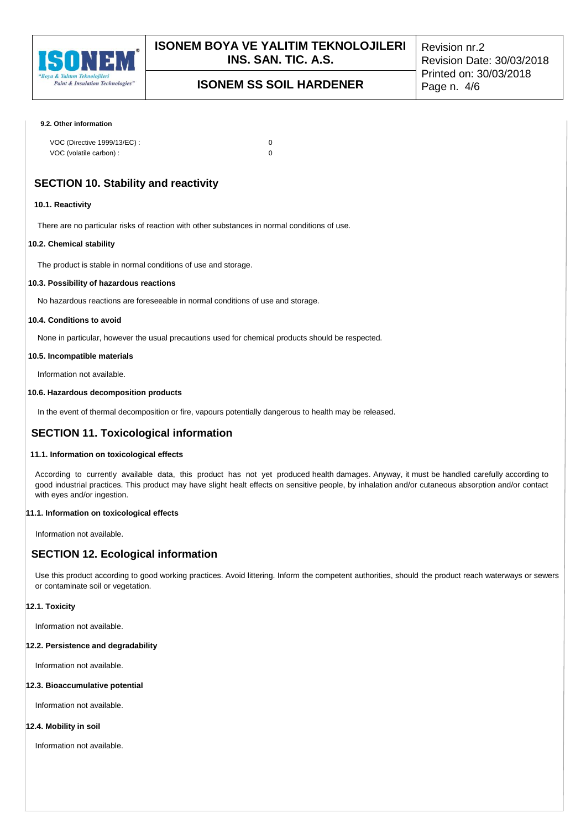

# **ISONEM SS SOIL HARDENER** Page n. 4/6

#### **9.2. Other information**

| VOC (Directive 1999/13/EC): |  |
|-----------------------------|--|
| VOC (volatile carbon) :     |  |

## **SECTION 10. Stability and reactivity**

#### **10.1. Reactivity**

There are no particular risks of reaction with other substances in normal conditions of use.

#### **10.2. Chemical stability**

The product is stable in normal conditions of use and storage.

### **10.3. Possibility of hazardous reactions**

No hazardous reactions are foreseeable in normal conditions of use and storage.

## **10.4. Conditions to avoid**

None in particular, however the usual precautions used for chemical products should be respected.

#### **10.5. Incompatible materials**

Information not available.

## **10.6. Hazardous decomposition products**

In the event of thermal decomposition or fire, vapours potentially dangerous to health may be released.

## **SECTION 11. Toxicological information**

#### **11.1. Information on toxicological effects**

According to currently available data, this product has not yet produced health damages. Anyway, it must be handled carefully according to good industrial practices. This product may have slight healt effects on sensitive people, by inhalation and/or cutaneous absorption and/or contact with eyes and/or ingestion.

## **11.1. Information on toxicological effects**

Information not available.

## **SECTION 12. Ecological information**

Use this product according to good working practices. Avoid littering. Inform the competent authorities, should the product reach waterways or sewers or contaminate soil or vegetation.

#### **12.1. Toxicity**

Information not available.

#### **12.2. Persistence and degradability**

Information not available.

#### **12.3. Bioaccumulative potential**

Information not available.

## **12.4. Mobility in soil**

Information not available.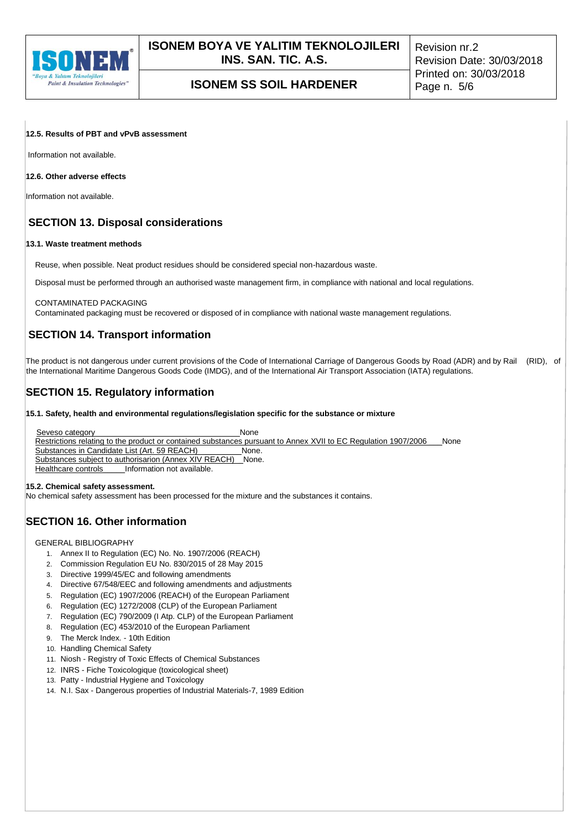

## **12.5. Results of PBT and vPvB assessment**

Information not available.

## **12.6. Other adverse effects**

Information not available.

## **SECTION 13. Disposal considerations**

## **13.1. Waste treatment methods**

Reuse, when possible. Neat product residues should be considered special non-hazardous waste.

Disposal must be performed through an authorised waste management firm, in compliance with national and local regulations.

#### CONTAMINATED PACKAGING

Contaminated packaging must be recovered or disposed of in compliance with national waste management regulations.

## **SECTION 14. Transport information**

The product is not dangerous under current provisions of the Code of International Carriage of Dangerous Goods by Road (ADR) and by Rail (RID), of the International Maritime Dangerous Goods Code (IMDG), and of the International Air Transport Association (IATA) regulations.

## **SECTION 15. Regulatory information**

### **15.1. Safety, health and environmental regulations/legislation specific for the substance or mixture**

Seveso category **None** None Restrictions relating to the product or contained substances pursuant to Annex XVII to EC Regulation 1907/2006 \_\_\_None<br>Substances in Candidate List (Art. 59 REACH) \_\_\_\_\_\_\_\_\_\_None. Substances in Candidate List (Art. 59 REACH) \_\_\_\_\_\_\_\_\_None. Substances subject to authorisarion (Annex XIV REACH) Healthcare controls\_\_\_\_\_\_Information not available.

#### **15.2. Chemical safety assessment.**

No chemical safety assessment has been processed for the mixture and the substances it contains.

## **SECTION 16. Other information**

GENERAL BIBLIOGRAPHY

- 1. Annex II to Regulation (EC) No. No. 1907/2006 (REACH)
- 2. Commission Regulation EU No. 830/2015 of 28 May 2015
- 3. Directive 1999/45/EC and following amendments
- 4. Directive 67/548/EEC and following amendments and adjustments
- 5. Regulation (EC) 1907/2006 (REACH) of the European Parliament
- 6. Regulation (EC) 1272/2008 (CLP) of the European Parliament
- 7. Regulation (EC) 790/2009 (I Atp. CLP) of the European Parliament
- 8. Regulation (EC) 453/2010 of the European Parliament
- 9. The Merck Index. 10th Edition
- 10. Handling Chemical Safety
- 11. Niosh Registry of Toxic Effects of Chemical Substances
- 12. INRS Fiche Toxicologique (toxicological sheet)
- 13. Patty Industrial Hygiene and Toxicology
- 14. N.I. Sax Dangerous properties of Industrial Materials-7, 1989 Edition